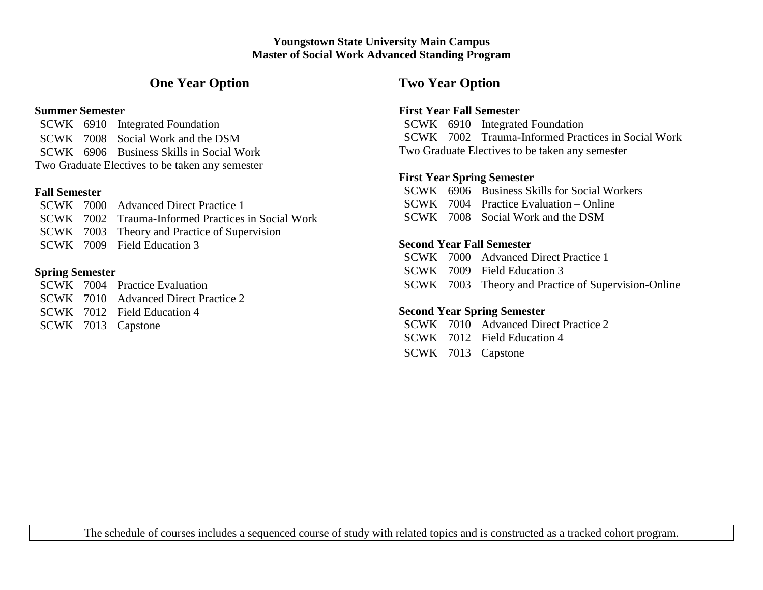### **Youngstown State University Main Campus Master of Social Work Advanced Standing Program**

# **One Year Option**

#### **Summer Semester**

SCWK 6910 Integrated Foundation SCWK 7008 Social Work and the DSM SCWK 6906 Business Skills in Social Work Two Graduate Electives to be taken any semester

## **Fall Semester**

|  | SCWK 7000 Advanced Direct Practice 1               |
|--|----------------------------------------------------|
|  | SCWK 7002 Trauma-Informed Practices in Social Work |
|  | SCWK 7003 Theory and Practice of Supervision       |
|  | SCWK 7009 Field Education 3                        |

## **Spring Semester**

SCWK 7004 Practice Evaluation SCWK 7010 Advanced Direct Practice 2 SCWK 7012 Field Education 4 SCWK 7013 Capstone

## **Two Year Option**

## **First Year Fall Semester**

SCWK 6910 Integrated Foundation SCWK 7002 Trauma-Informed Practices in Social Work Two Graduate Electives to be taken any semester

## **First Year Spring Semester**

SCWK 6906 Business Skills for Social Workers SCWK 7004 Practice Evaluation – Online SCWK 7008 Social Work and the DSM

## **Second Year Fall Semester**

SCWK 7000 Advanced Direct Practice 1 SCWK 7009 Field Education 3 SCWK 7003 Theory and Practice of Supervision-Online

## **Second Year Spring Semester**

- SCWK 7010 Advanced Direct Practice 2
- SCWK 7012 Field Education 4
- SCWK 7013 Capstone

The schedule of courses includes a sequenced course of study with related topics and is constructed as a tracked cohort program.